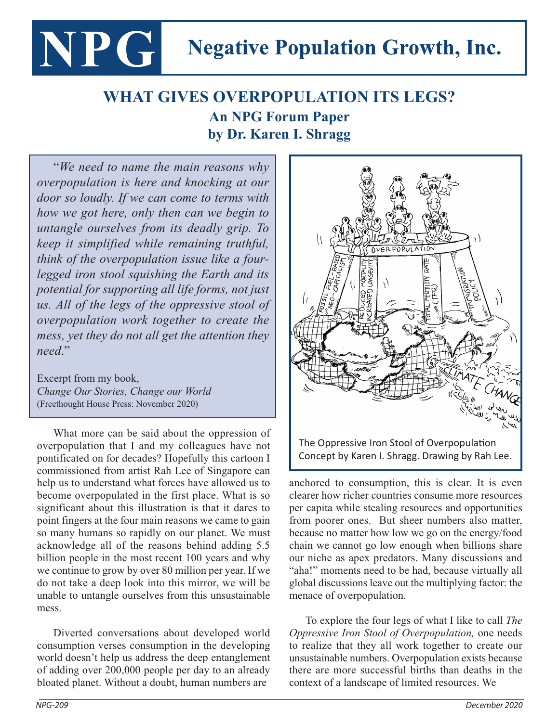## **NPG Negative Population Growth, Inc.**

## **WHAT GIVES OVERPOPULATION ITS LEGS? An NPG Forum Paper by Dr. Karen I. Shragg by Dr. Karen I. Shragg**

"*We need to name the main reasons why overpopulation is here and knocking at our door so loudly. If we can come to terms with how we got here, only then can we begin to untangle ourselves from its deadly grip. To keep it simplified while remaining truthful, think of the overpopulation issue like a fourlegged iron stool squishing the Earth and its potential for supporting all life forms, not just us. All of the legs of the oppressive stool of overpopulation work together to create the mess, yet they do not all get the attention they need*."

Excerpt from my book, *Change Our Stories, Change our World*  (Freethought House Press: November 2020)

What more can be said about the oppression of overpopulation that I and my colleagues have not pontificated on for decades? Hopefully this cartoon I commissioned from artist Rah Lee of Singapore can help us to understand what forces have allowed us to become overpopulated in the first place. What is so significant about this illustration is that it dares to point fingers at the four main reasons we came to gain so many humans so rapidly on our planet. We must acknowledge all of the reasons behind adding 5.5 billion people in the most recent 100 years and why we continue to grow by over 80 million per year. If we do not take a deep look into this mirror, we will be unable to untangle ourselves from this unsustainable mess.

Diverted conversations about developed world consumption verses consumption in the developing world doesn't help us address the deep entanglement of adding over 200,000 people per day to an already bloated planet. Without a doubt, human numbers are



anchored to consumption, this is clear. It is even clearer how richer countries consume more resources per capita while stealing resources and opportunities from poorer ones. But sheer numbers also matter, because no matter how low we go on the energy/food chain we cannot go low enough when billions share our niche as apex predators. Many discussions and "aha!" moments need to be had, because virtually all global discussions leave out the multiplying factor: the menace of overpopulation.

To explore the four legs of what I like to call *The Oppressive Iron Stool of Overpopulation,* one needs to realize that they all work together to create our unsustainable numbers. Overpopulation exists because there are more successful births than deaths in the context of a landscape of limited resources. We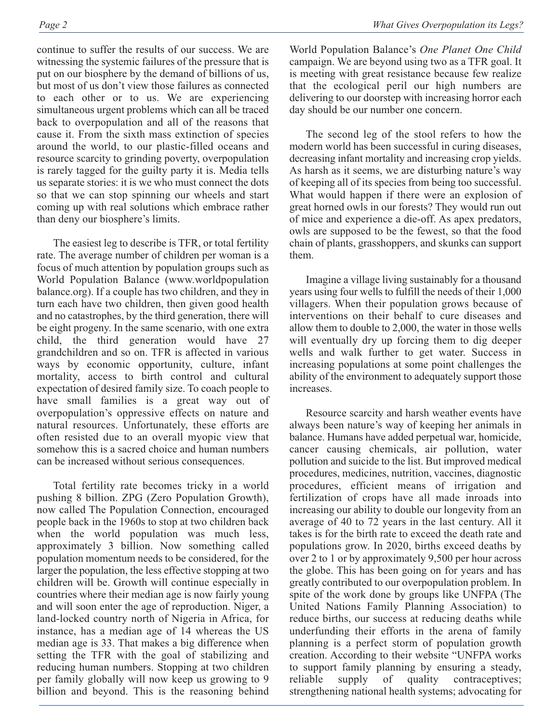continue to suffer the results of our success. We are witnessing the systemic failures of the pressure that is put on our biosphere by the demand of billions of us, but most of us don't view those failures as connected to each other or to us. We are experiencing simultaneous urgent problems which can all be traced back to overpopulation and all of the reasons that cause it. From the sixth mass extinction of species around the world, to our plastic-filled oceans and resource scarcity to grinding poverty, overpopulation is rarely tagged for the guilty party it is. Media tells us separate stories: it is we who must connect the dots so that we can stop spinning our wheels and start coming up with real solutions which embrace rather than deny our biosphere's limits.

The easiest leg to describe is TFR, or total fertility rate. The average number of children per woman is a focus of much attention by population groups such as World Population Balance (www.worldpopulation balance.org). If a couple has two children, and they in turn each have two children, then given good health and no catastrophes, by the third generation, there will be eight progeny. In the same scenario, with one extra child, the third generation would have 27 grandchildren and so on. TFR is affected in various ways by economic opportunity, culture, infant mortality, access to birth control and cultural expectation of desired family size. To coach people to have small families is a great way out of overpopulation's oppressive effects on nature and natural resources. Unfortunately, these efforts are often resisted due to an overall myopic view that somehow this is a sacred choice and human numbers can be increased without serious consequences.

Total fertility rate becomes tricky in a world pushing 8 billion. ZPG (Zero Population Growth), now called The Population Connection, encouraged people back in the 1960s to stop at two children back when the world population was much less, approximately 3 billion. Now something called population momentum needs to be considered, for the larger the population, the less effective stopping at two children will be. Growth will continue especially in countries where their median age is now fairly young and will soon enter the age of reproduction. Niger, a land-locked country north of Nigeria in Africa, for instance, has a median age of 14 whereas the US median age is 33. That makes a big difference when setting the TFR with the goal of stabilizing and reducing human numbers. Stopping at two children per family globally will now keep us growing to 9 billion and beyond. This is the reasoning behind

World Population Balance's *One Planet One Child* campaign. We are beyond using two as a TFR goal. It is meeting with great resistance because few realize that the ecological peril our high numbers are delivering to our doorstep with increasing horror each day should be our number one concern.

The second leg of the stool refers to how the modern world has been successful in curing diseases, decreasing infant mortality and increasing crop yields. As harsh as it seems, we are disturbing nature's way of keeping all of its species from being too successful. What would happen if there were an explosion of great horned owls in our forests? They would run out of mice and experience a die-off. As apex predators, owls are supposed to be the fewest, so that the food chain of plants, grasshoppers, and skunks can support them.

Imagine a village living sustainably for a thousand years using four wells to fulfill the needs of their 1,000 villagers. When their population grows because of interventions on their behalf to cure diseases and allow them to double to 2,000, the water in those wells will eventually dry up forcing them to dig deeper wells and walk further to get water. Success in increasing populations at some point challenges the ability of the environment to adequately support those increases.

Resource scarcity and harsh weather events have always been nature's way of keeping her animals in balance. Humans have added perpetual war, homicide, cancer causing chemicals, air pollution, water pollution and suicide to the list. But improved medical procedures, medicines, nutrition, vaccines, diagnostic procedures, efficient means of irrigation and fertilization of crops have all made inroads into increasing our ability to double our longevity from an average of 40 to 72 years in the last century. All it takes is for the birth rate to exceed the death rate and populations grow. In 2020, births exceed deaths by over 2 to 1 or by approximately 9,500 per hour across the globe. This has been going on for years and has greatly contributed to our overpopulation problem. In spite of the work done by groups like UNFPA (The United Nations Family Planning Association) to reduce births, our success at reducing deaths while underfunding their efforts in the arena of family planning is a perfect storm of population growth creation. According to their website "UNFPA works to support family planning by ensuring a steady, reliable supply of quality contraceptives; strengthening national health systems; advocating for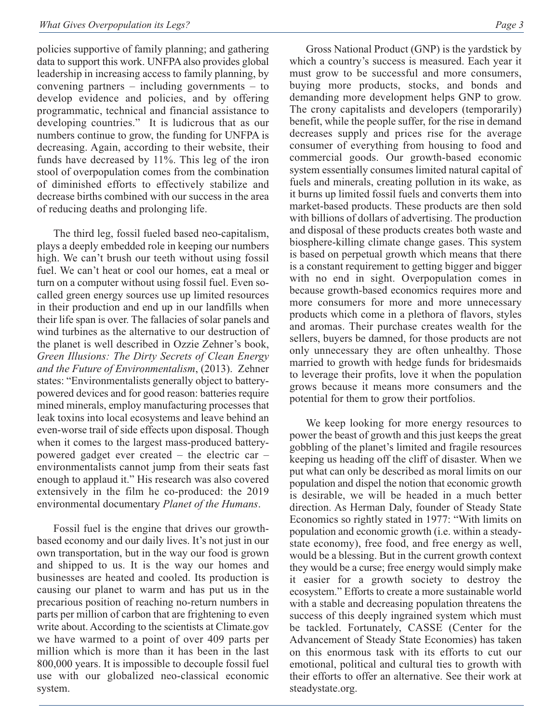policies supportive of family planning; and gathering data to support this work. UNFPA also provides global leadership in increasing access to family planning, by convening partners – including governments – to develop evidence and policies, and by offering programmatic, technical and financial assistance to developing countries." It is ludicrous that as our numbers continue to grow, the funding for UNFPA is decreasing. Again, according to their website, their funds have decreased by 11%. This leg of the iron stool of overpopulation comes from the combination of diminished efforts to effectively stabilize and decrease births combined with our success in the area of reducing deaths and prolonging life.

The third leg, fossil fueled based neo-capitalism, plays a deeply embedded role in keeping our numbers high. We can't brush our teeth without using fossil fuel. We can't heat or cool our homes, eat a meal or turn on a computer without using fossil fuel. Even socalled green energy sources use up limited resources in their production and end up in our landfills when their life span is over. The fallacies of solar panels and wind turbines as the alternative to our destruction of the planet is well described in Ozzie Zehner's book, *Green Illusions: The Dirty Secrets of Clean Energy and the Future of Environmentalism*, (2013). Zehner states: "Environmentalists generally object to batterypowered devices and for good reason: batteries require mined minerals, employ manufacturing processes that leak toxins into local ecosystems and leave behind an even-worse trail of side effects upon disposal. Though when it comes to the largest mass-produced batterypowered gadget ever created – the electric car – environmentalists cannot jump from their seats fast enough to applaud it." His research was also covered extensively in the film he co-produced: the 2019 environmental documentary *Planet of the Humans*.

Fossil fuel is the engine that drives our growthbased economy and our daily lives. It's not just in our own transportation, but in the way our food is grown and shipped to us. It is the way our homes and businesses are heated and cooled. Its production is causing our planet to warm and has put us in the precarious position of reaching no-return numbers in parts per million of carbon that are frightening to even write about. According to the scientists at Climate.gov we have warmed to a point of over 409 parts per million which is more than it has been in the last 800,000 years. It is impossible to decouple fossil fuel use with our globalized neo-classical economic system.

Gross National Product (GNP) is the yardstick by which a country's success is measured. Each year it must grow to be successful and more consumers, buying more products, stocks, and bonds and demanding more development helps GNP to grow. The crony capitalists and developers (temporarily) benefit, while the people suffer, for the rise in demand decreases supply and prices rise for the average consumer of everything from housing to food and commercial goods. Our growth-based economic system essentially consumes limited natural capital of fuels and minerals, creating pollution in its wake, as it burns up limited fossil fuels and converts them into market-based products. These products are then sold with billions of dollars of advertising. The production and disposal of these products creates both waste and biosphere-killing climate change gases. This system is based on perpetual growth which means that there is a constant requirement to getting bigger and bigger with no end in sight. Overpopulation comes in because growth-based economics requires more and more consumers for more and more unnecessary products which come in a plethora of flavors, styles and aromas. Their purchase creates wealth for the sellers, buyers be damned, for those products are not only unnecessary they are often unhealthy. Those married to growth with hedge funds for bridesmaids to leverage their profits, love it when the population grows because it means more consumers and the potential for them to grow their portfolios.

We keep looking for more energy resources to power the beast of growth and this just keeps the great gobbling of the planet's limited and fragile resources keeping us heading off the cliff of disaster. When we put what can only be described as moral limits on our population and dispel the notion that economic growth is desirable, we will be headed in a much better direction. As Herman Daly, founder of Steady State Economics so rightly stated in 1977: "With limits on population and economic growth (i.e. within a steadystate economy), free food, and free energy as well, would be a blessing. But in the current growth context they would be a curse; free energy would simply make it easier for a growth society to destroy the ecosystem." Efforts to create a more sustainable world with a stable and decreasing population threatens the success of this deeply ingrained system which must be tackled. Fortunately, CASSE (Center for the Advancement of Steady State Economies) has taken on this enormous task with its efforts to cut our emotional, political and cultural ties to growth with their efforts to offer an alternative. See their work at steadystate.org.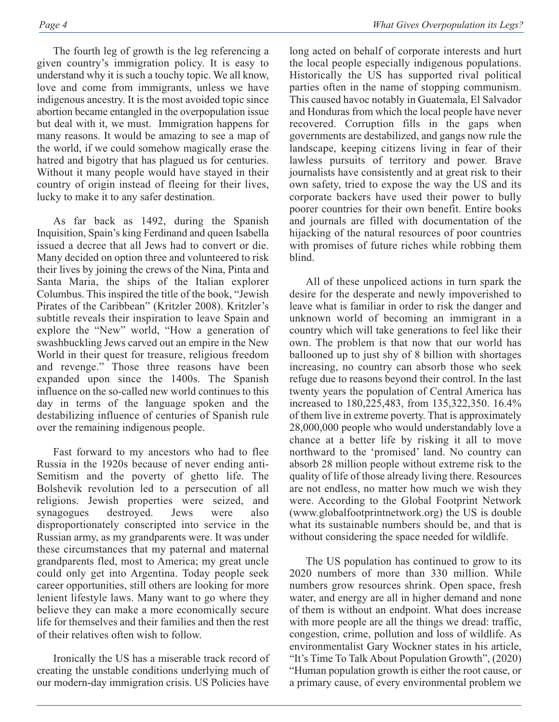The fourth leg of growth is the leg referencing a given country's immigration policy. It is easy to understand why it is such a touchy topic. We all know, love and come from immigrants, unless we have indigenous ancestry. It is the most avoided topic since abortion became entangled in the overpopulation issue but deal with it, we must. Immigration happens for many reasons. It would be amazing to see a map of the world, if we could somehow magically erase the hatred and bigotry that has plagued us for centuries. Without it many people would have stayed in their country of origin instead of fleeing for their lives, lucky to make it to any safer destination.

As far back as 1492, during the Spanish Inquisition, Spain's king Ferdinand and queen Isabella issued a decree that all Jews had to convert or die. Many decided on option three and volunteered to risk their lives by joining the crews of the Nina, Pinta and Santa Maria, the ships of the Italian explorer Columbus. This inspired the title of the book, "Jewish Pirates of the Caribbean" (Kritzler 2008). Kritzler's subtitle reveals their inspiration to leave Spain and explore the "New" world, "How a generation of swashbuckling Jews carved out an empire in the New World in their quest for treasure, religious freedom and revenge." Those three reasons have been expanded upon since the 1400s. The Spanish influence on the so-called new world continues to this day in terms of the language spoken and the destabilizing influence of centuries of Spanish rule over the remaining indigenous people.

Fast forward to my ancestors who had to flee Russia in the 1920s because of never ending anti-Semitism and the poverty of ghetto life. The Bolshevik revolution led to a persecution of all religions. Jewish properties were seized, and synagogues destroyed. Jews were also disproportionately conscripted into service in the Russian army, as my grandparents were. It was under these circumstances that my paternal and maternal grandparents fled, most to America; my great uncle could only get into Argentina. Today people seek career opportunities, still others are looking for more lenient lifestyle laws. Many want to go where they believe they can make a more economically secure life for themselves and their families and then the rest of their relatives often wish to follow.

Ironically the US has a miserable track record of creating the unstable conditions underlying much of our modern-day immigration crisis. US Policies have

long acted on behalf of corporate interests and hurt the local people especially indigenous populations. Historically the US has supported rival political parties often in the name of stopping communism. This caused havoc notably in Guatemala, El Salvador and Honduras from which the local people have never recovered. Corruption fills in the gaps when governments are destabilized, and gangs now rule the landscape, keeping citizens living in fear of their lawless pursuits of territory and power. Brave journalists have consistently and at great risk to their own safety, tried to expose the way the US and its corporate backers have used their power to bully poorer countries for their own benefit. Entire books and journals are filled with documentation of the hijacking of the natural resources of poor countries with promises of future riches while robbing them blind.

All of these unpoliced actions in turn spark the desire for the desperate and newly impoverished to leave what is familiar in order to risk the danger and unknown world of becoming an immigrant in a country which will take generations to feel like their own. The problem is that now that our world has ballooned up to just shy of 8 billion with shortages increasing, no country can absorb those who seek refuge due to reasons beyond their control. In the last twenty years the population of Central America has increased to 180,225,483, from 135,322,350. 16.4% of them live in extreme poverty. That is approximately 28,000,000 people who would understandably love a chance at a better life by risking it all to move northward to the 'promised' land. No country can absorb 28 million people without extreme risk to the quality of life of those already living there. Resources are not endless, no matter how much we wish they were. According to the Global Footprint Network (www.globalfootprintnetwork.org) the US is double what its sustainable numbers should be, and that is without considering the space needed for wildlife.

The US population has continued to grow to its 2020 numbers of more than 330 million. While numbers grow resources shrink. Open space, fresh water, and energy are all in higher demand and none of them is without an endpoint. What does increase with more people are all the things we dread: traffic, congestion, crime, pollution and loss of wildlife. As environmentalist Gary Wockner states in his article, "It's Time To Talk About Population Growth", (2020) "Human population growth is either the root cause, or a primary cause, of every environmental problem we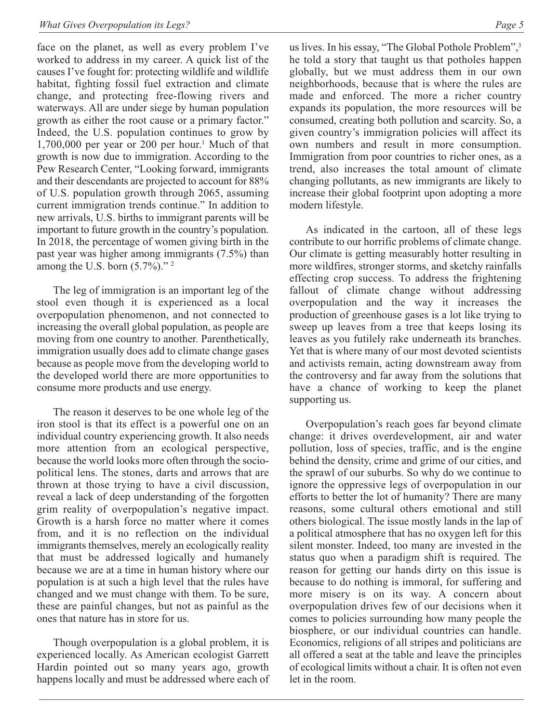face on the planet, as well as every problem I've worked to address in my career. A quick list of the causes I've fought for: protecting wildlife and wildlife habitat, fighting fossil fuel extraction and climate change, and protecting free-flowing rivers and waterways. All are under siege by human population growth as either the root cause or a primary factor." Indeed, the U.S. population continues to grow by  $1,700,000$  per year or 200 per hour.<sup>1</sup> Much of that growth is now due to immigration. According to the Pew Research Center, "Looking forward, immigrants and their descendants are projected to account for 88% of U.S. population growth through 2065, assuming current immigration trends continue." In addition to new arrivals, U.S. births to immigrant parents will be important to future growth in the country's population. In 2018, the percentage of women giving birth in the past year was higher among immigrants (7.5%) than among the U.S. born  $(5.7\%)$ ."<sup>2</sup>

The leg of immigration is an important leg of the stool even though it is experienced as a local overpopulation phenomenon, and not connected to increasing the overall global population, as people are moving from one country to another. Parenthetically, immigration usually does add to climate change gases because as people move from the developing world to the developed world there are more opportunities to consume more products and use energy.

The reason it deserves to be one whole leg of the iron stool is that its effect is a powerful one on an individual country experiencing growth. It also needs more attention from an ecological perspective, because the world looks more often through the sociopolitical lens. The stones, darts and arrows that are thrown at those trying to have a civil discussion, reveal a lack of deep understanding of the forgotten grim reality of overpopulation's negative impact. Growth is a harsh force no matter where it comes from, and it is no reflection on the individual immigrants themselves, merely an ecologically reality that must be addressed logically and humanely because we are at a time in human history where our population is at such a high level that the rules have changed and we must change with them. To be sure, these are painful changes, but not as painful as the ones that nature has in store for us.

Though overpopulation is a global problem, it is experienced locally. As American ecologist Garrett Hardin pointed out so many years ago, growth happens locally and must be addressed where each of us lives. In his essay, "The Global Pothole Problem",3 he told a story that taught us that potholes happen globally, but we must address them in our own neighborhoods, because that is where the rules are made and enforced. The more a richer country expands its population, the more resources will be consumed, creating both pollution and scarcity. So, a given country's immigration policies will affect its own numbers and result in more consumption. Immigration from poor countries to richer ones, as a trend, also increases the total amount of climate changing pollutants, as new immigrants are likely to increase their global footprint upon adopting a more modern lifestyle.

As indicated in the cartoon, all of these legs contribute to our horrific problems of climate change. Our climate is getting measurably hotter resulting in more wildfires, stronger storms, and sketchy rainfalls effecting crop success. To address the frightening fallout of climate change without addressing overpopulation and the way it increases the production of greenhouse gases is a lot like trying to sweep up leaves from a tree that keeps losing its leaves as you futilely rake underneath its branches. Yet that is where many of our most devoted scientists and activists remain, acting downstream away from the controversy and far away from the solutions that have a chance of working to keep the planet supporting us.

Overpopulation's reach goes far beyond climate change: it drives overdevelopment, air and water pollution, loss of species, traffic, and is the engine behind the density, crime and grime of our cities, and the sprawl of our suburbs. So why do we continue to ignore the oppressive legs of overpopulation in our efforts to better the lot of humanity? There are many reasons, some cultural others emotional and still others biological. The issue mostly lands in the lap of a political atmosphere that has no oxygen left for this silent monster. Indeed, too many are invested in the status quo when a paradigm shift is required. The reason for getting our hands dirty on this issue is because to do nothing is immoral, for suffering and more misery is on its way. A concern about overpopulation drives few of our decisions when it comes to policies surrounding how many people the biosphere, or our individual countries can handle. Economics, religions of all stripes and politicians are all offered a seat at the table and leave the principles of ecological limits without a chair. It is often not even let in the room.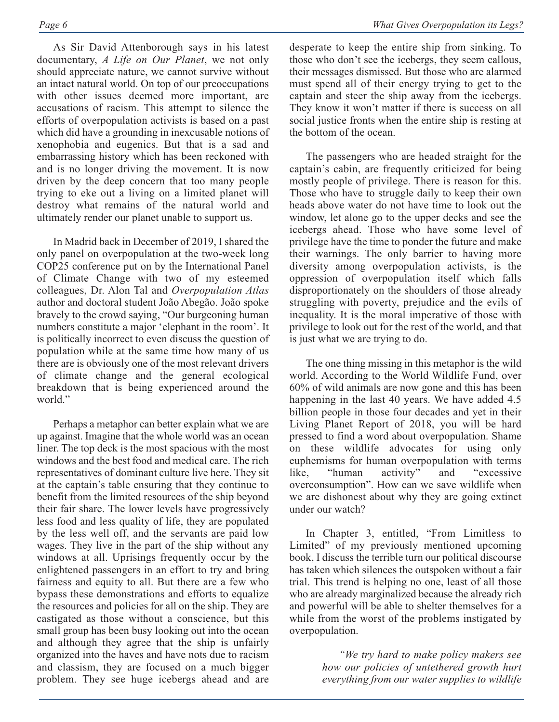As Sir David Attenborough says in his latest documentary, *A Life on Our Planet*, we not only should appreciate nature, we cannot survive without an intact natural world. On top of our preoccupations with other issues deemed more important, are accusations of racism. This attempt to silence the efforts of overpopulation activists is based on a past which did have a grounding in inexcusable notions of xenophobia and eugenics. But that is a sad and embarrassing history which has been reckoned with and is no longer driving the movement. It is now driven by the deep concern that too many people trying to eke out a living on a limited planet will destroy what remains of the natural world and ultimately render our planet unable to support us.

In Madrid back in December of 2019, I shared the only panel on overpopulation at the two-week long COP25 conference put on by the International Panel of Climate Change with two of my esteemed colleagues, Dr. Alon Tal and *Overpopulation Atlas* author and doctoral student João Abegão. João spoke bravely to the crowd saying, "Our burgeoning human numbers constitute a major 'elephant in the room'. It is politically incorrect to even discuss the question of population while at the same time how many of us there are is obviously one of the most relevant drivers of climate change and the general ecological breakdown that is being experienced around the world."

Perhaps a metaphor can better explain what we are up against. Imagine that the whole world was an ocean liner. The top deck is the most spacious with the most windows and the best food and medical care. The rich representatives of dominant culture live here. They sit at the captain's table ensuring that they continue to benefit from the limited resources of the ship beyond their fair share. The lower levels have progressively less food and less quality of life, they are populated by the less well off, and the servants are paid low wages. They live in the part of the ship without any windows at all. Uprisings frequently occur by the enlightened passengers in an effort to try and bring fairness and equity to all. But there are a few who bypass these demonstrations and efforts to equalize the resources and policies for all on the ship. They are castigated as those without a conscience, but this small group has been busy looking out into the ocean and although they agree that the ship is unfairly organized into the haves and have nots due to racism and classism, they are focused on a much bigger problem. They see huge icebergs ahead and are

desperate to keep the entire ship from sinking. To those who don't see the icebergs, they seem callous, their messages dismissed. But those who are alarmed must spend all of their energy trying to get to the captain and steer the ship away from the icebergs. They know it won't matter if there is success on all social justice fronts when the entire ship is resting at the bottom of the ocean.

The passengers who are headed straight for the captain's cabin, are frequently criticized for being mostly people of privilege. There is reason for this. Those who have to struggle daily to keep their own heads above water do not have time to look out the window, let alone go to the upper decks and see the icebergs ahead. Those who have some level of privilege have the time to ponder the future and make their warnings. The only barrier to having more diversity among overpopulation activists, is the oppression of overpopulation itself which falls disproportionately on the shoulders of those already struggling with poverty, prejudice and the evils of inequality. It is the moral imperative of those with privilege to look out for the rest of the world, and that is just what we are trying to do.

The one thing missing in this metaphor is the wild world. According to the World Wildlife Fund, over 60% of wild animals are now gone and this has been happening in the last 40 years. We have added 4.5 billion people in those four decades and yet in their Living Planet Report of 2018, you will be hard pressed to find a word about overpopulation. Shame on these wildlife advocates for using only euphemisms for human overpopulation with terms like, "human activity" and "excessive overconsumption". How can we save wildlife when we are dishonest about why they are going extinct under our watch?

In Chapter 3, entitled, "From Limitless to Limited" of my previously mentioned upcoming book, I discuss the terrible turn our political discourse has taken which silences the outspoken without a fair trial. This trend is helping no one, least of all those who are already marginalized because the already rich and powerful will be able to shelter themselves for a while from the worst of the problems instigated by overpopulation.

> *"We try hard to make policy makers see how our policies of untethered growth hurt everything from our water supplies to wildlife*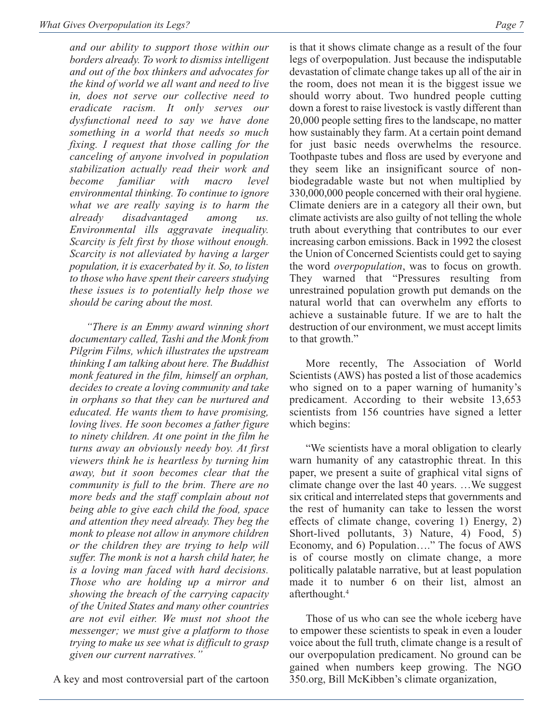*and our ability to support those within our borders already. To work to dismiss intelligent and out of the box thinkers and advocates for the kind of world we all want and need to live in, does not serve our collective need to eradicate racism. It only serves our dysfunctional need to say we have done something in a world that needs so much fixing. I request that those calling for the canceling of anyone involved in population stabilization actually read their work and become familiar with macro level environmental thinking. To continue to ignore what we are really saying is to harm the already disadvantaged among us. Environmental ills aggravate inequality. Scarcity is felt first by those without enough. Scarcity is not alleviated by having a larger population, it is exacerbated by it. So, to listen to those who have spent their careers studying these issues is to potentially help those we should be caring about the most.* 

*"There is an Emmy award winning short documentary called, Tashi and the Monk from Pilgrim Films, which illustrates the upstream thinking I am talking about here. The Buddhist monk featured in the film, himself an orphan, decides to create a loving community and take in orphans so that they can be nurtured and educated. He wants them to have promising, loving lives. He soon becomes a father figure to ninety children. At one point in the film he turns away an obviously needy boy. At first viewers think he is heartless by turning him away, but it soon becomes clear that the community is full to the brim. There are no more beds and the staff complain about not being able to give each child the food, space and attention they need already. They beg the monk to please not allow in anymore children or the children they are trying to help will suffer. The monk is not a harsh child hater, he is a loving man faced with hard decisions. Those who are holding up a mirror and showing the breach of the carrying capacity of the United States and many other countries are not evil either. We must not shoot the messenger; we must give a platform to those trying to make us see what is difficult to grasp given our current narratives."* 

A key and most controversial part of the cartoon

is that it shows climate change as a result of the four legs of overpopulation. Just because the indisputable devastation of climate change takes up all of the air in the room, does not mean it is the biggest issue we should worry about. Two hundred people cutting down a forest to raise livestock is vastly different than 20,000 people setting fires to the landscape, no matter how sustainably they farm. At a certain point demand for just basic needs overwhelms the resource. Toothpaste tubes and floss are used by everyone and they seem like an insignificant source of nonbiodegradable waste but not when multiplied by 330,000,000 people concerned with their oral hygiene. Climate deniers are in a category all their own, but climate activists are also guilty of not telling the whole truth about everything that contributes to our ever increasing carbon emissions. Back in 1992 the closest the Union of Concerned Scientists could get to saying the word *overpopulation*, was to focus on growth. They warned that "Pressures resulting from unrestrained population growth put demands on the natural world that can overwhelm any efforts to achieve a sustainable future. If we are to halt the destruction of our environment, we must accept limits to that growth."

More recently, The Association of World Scientists (AWS) has posted a list of those academics who signed on to a paper warning of humanity's predicament. According to their website 13,653 scientists from 156 countries have signed a letter which begins:

"We scientists have a moral obligation to clearly warn humanity of any catastrophic threat. In this paper, we present a suite of graphical vital signs of climate change over the last 40 years. …We suggest six critical and interrelated steps that governments and the rest of humanity can take to lessen the worst effects of climate change, covering 1) Energy, 2) Short-lived pollutants, 3) Nature, 4) Food, 5) Economy, and 6) Population…." The focus of AWS is of course mostly on climate change, a more politically palatable narrative, but at least population made it to number 6 on their list, almost an afterthought.4

Those of us who can see the whole iceberg have to empower these scientists to speak in even a louder voice about the full truth, climate change is a result of our overpopulation predicament. No ground can be gained when numbers keep growing. The NGO 350.org, Bill McKibben's climate organization,